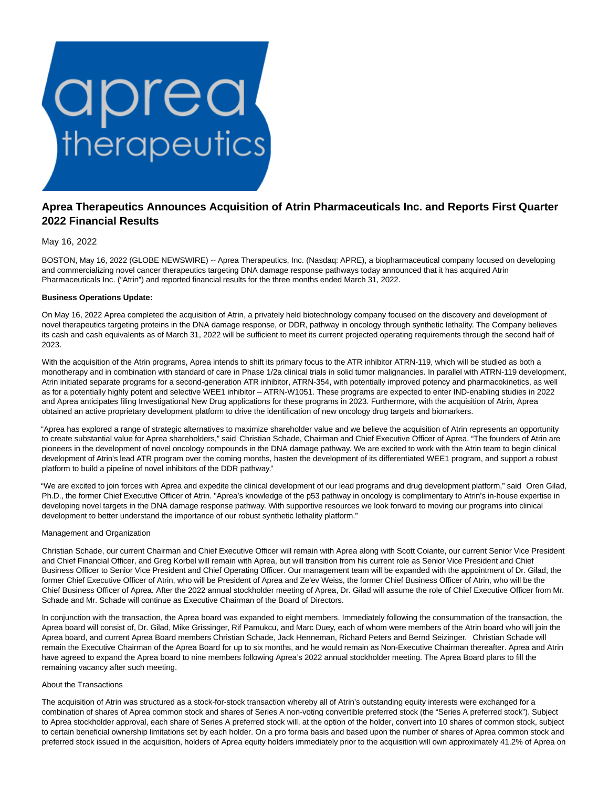

# **Aprea Therapeutics Announces Acquisition of Atrin Pharmaceuticals Inc. and Reports First Quarter 2022 Financial Results**

May 16, 2022

BOSTON, May 16, 2022 (GLOBE NEWSWIRE) -- Aprea Therapeutics, Inc. (Nasdaq: APRE), a biopharmaceutical company focused on developing and commercializing novel cancer therapeutics targeting DNA damage response pathways today announced that it has acquired Atrin Pharmaceuticals Inc. ("Atrin") and reported financial results for the three months ended March 31, 2022.

## **Business Operations Update:**

On May 16, 2022 Aprea completed the acquisition of Atrin, a privately held biotechnology company focused on the discovery and development of novel therapeutics targeting proteins in the DNA damage response, or DDR, pathway in oncology through synthetic lethality. The Company believes its cash and cash equivalents as of March 31, 2022 will be sufficient to meet its current projected operating requirements through the second half of 2023.

With the acquisition of the Atrin programs, Aprea intends to shift its primary focus to the ATR inhibitor ATRN-119, which will be studied as both a monotherapy and in combination with standard of care in Phase 1/2a clinical trials in solid tumor malignancies. In parallel with ATRN-119 development, Atrin initiated separate programs for a second-generation ATR inhibitor, ATRN-354, with potentially improved potency and pharmacokinetics, as well as for a potentially highly potent and selective WEE1 inhibitor – ATRN-W1051. These programs are expected to enter IND-enabling studies in 2022 and Aprea anticipates filing Investigational New Drug applications for these programs in 2023. Furthermore, with the acquisition of Atrin, Aprea obtained an active proprietary development platform to drive the identification of new oncology drug targets and biomarkers.

"Aprea has explored a range of strategic alternatives to maximize shareholder value and we believe the acquisition of Atrin represents an opportunity to create substantial value for Aprea shareholders," said Christian Schade, Chairman and Chief Executive Officer of Aprea. "The founders of Atrin are pioneers in the development of novel oncology compounds in the DNA damage pathway. We are excited to work with the Atrin team to begin clinical development of Atrin's lead ATR program over the coming months, hasten the development of its differentiated WEE1 program, and support a robust platform to build a pipeline of novel inhibitors of the DDR pathway."

"We are excited to join forces with Aprea and expedite the clinical development of our lead programs and drug development platform," said Oren Gilad, Ph.D., the former Chief Executive Officer of Atrin. "Aprea's knowledge of the p53 pathway in oncology is complimentary to Atrin's in-house expertise in developing novel targets in the DNA damage response pathway. With supportive resources we look forward to moving our programs into clinical development to better understand the importance of our robust synthetic lethality platform."

## Management and Organization

Christian Schade, our current Chairman and Chief Executive Officer will remain with Aprea along with Scott Coiante, our current Senior Vice President and Chief Financial Officer, and Greg Korbel will remain with Aprea, but will transition from his current role as Senior Vice President and Chief Business Officer to Senior Vice President and Chief Operating Officer. Our management team will be expanded with the appointment of Dr. Gilad, the former Chief Executive Officer of Atrin, who will be President of Aprea and Ze'ev Weiss, the former Chief Business Officer of Atrin, who will be the Chief Business Officer of Aprea. After the 2022 annual stockholder meeting of Aprea, Dr. Gilad will assume the role of Chief Executive Officer from Mr. Schade and Mr. Schade will continue as Executive Chairman of the Board of Directors.

In conjunction with the transaction, the Aprea board was expanded to eight members. Immediately following the consummation of the transaction, the Aprea board will consist of, Dr. Gilad, Mike Grissinger, Rif Pamukcu, and Marc Duey, each of whom were members of the Atrin board who will join the Aprea board, and current Aprea Board members Christian Schade, Jack Henneman, Richard Peters and Bernd Seizinger. Christian Schade will remain the Executive Chairman of the Aprea Board for up to six months, and he would remain as Non-Executive Chairman thereafter. Aprea and Atrin have agreed to expand the Aprea board to nine members following Aprea's 2022 annual stockholder meeting. The Aprea Board plans to fill the remaining vacancy after such meeting.

## About the Transactions

The acquisition of Atrin was structured as a stock-for-stock transaction whereby all of Atrin's outstanding equity interests were exchanged for a combination of shares of Aprea common stock and shares of Series A non-voting convertible preferred stock (the "Series A preferred stock"). Subject to Aprea stockholder approval, each share of Series A preferred stock will, at the option of the holder, convert into 10 shares of common stock, subject to certain beneficial ownership limitations set by each holder. On a pro forma basis and based upon the number of shares of Aprea common stock and preferred stock issued in the acquisition, holders of Aprea equity holders immediately prior to the acquisition will own approximately 41.2% of Aprea on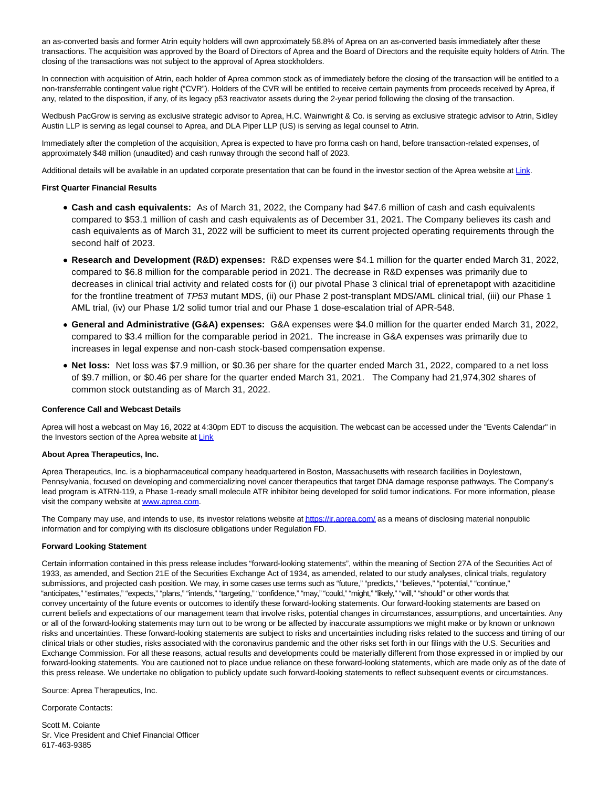an as-converted basis and former Atrin equity holders will own approximately 58.8% of Aprea on an as-converted basis immediately after these transactions. The acquisition was approved by the Board of Directors of Aprea and the Board of Directors and the requisite equity holders of Atrin. The closing of the transactions was not subject to the approval of Aprea stockholders.

In connection with acquisition of Atrin, each holder of Aprea common stock as of immediately before the closing of the transaction will be entitled to a non-transferrable contingent value right ("CVR"). Holders of the CVR will be entitled to receive certain payments from proceeds received by Aprea, if any, related to the disposition, if any, of its legacy p53 reactivator assets during the 2-year period following the closing of the transaction.

Wedbush PacGrow is serving as exclusive strategic advisor to Aprea, H.C. Wainwright & Co. is serving as exclusive strategic advisor to Atrin, Sidley Austin LLP is serving as legal counsel to Aprea, and DLA Piper LLP (US) is serving as legal counsel to Atrin.

Immediately after the completion of the acquisition, Aprea is expected to have pro forma cash on hand, before transaction-related expenses, of approximately \$48 million (unaudited) and cash runway through the second half of 2023.

Additional details will be available in an updated corporate presentation that can be found in the investor section of the Aprea website at [Link.](https://www.globenewswire.com/Tracker?data=fjGZW2IH4z7cLwHPwLI3kU7XEBngFWOTFQTGSXRCO1qf4FlJhmxa17sjKwRCgKnrj-_lrQn3mGvIaLlpXvTiTslG0g4lfFOr4N9f7-Jj93k=)

## **First Quarter Financial Results**

- **Cash and cash equivalents:** As of March 31, 2022, the Company had \$47.6 million of cash and cash equivalents compared to \$53.1 million of cash and cash equivalents as of December 31, 2021. The Company believes its cash and cash equivalents as of March 31, 2022 will be sufficient to meet its current projected operating requirements through the second half of 2023.
- **Research and Development (R&D) expenses:** R&D expenses were \$4.1 million for the quarter ended March 31, 2022, compared to \$6.8 million for the comparable period in 2021. The decrease in R&D expenses was primarily due to decreases in clinical trial activity and related costs for (i) our pivotal Phase 3 clinical trial of eprenetapopt with azacitidine for the frontline treatment of TP53 mutant MDS, (ii) our Phase 2 post-transplant MDS/AML clinical trial, (iii) our Phase 1 AML trial, (iv) our Phase 1/2 solid tumor trial and our Phase 1 dose-escalation trial of APR-548.
- **General and Administrative (G&A) expenses:** G&A expenses were \$4.0 million for the quarter ended March 31, 2022, compared to \$3.4 million for the comparable period in 2021. The increase in G&A expenses was primarily due to increases in legal expense and non-cash stock-based compensation expense.
- **Net loss:** Net loss was \$7.9 million, or \$0.36 per share for the quarter ended March 31, 2022, compared to a net loss of \$9.7 million, or \$0.46 per share for the quarter ended March 31, 2021. The Company had 21,974,302 shares of common stock outstanding as of March 31, 2022.

#### **Conference Call and Webcast Details**

Aprea will host a webcast on May 16, 2022 at 4:30pm EDT to discuss the acquisition. The webcast can be accessed under the "Events Calendar" in the Investors section of the Aprea website at [Link](https://www.globenewswire.com/Tracker?data=aWaHUbMLZw0FtMWp05-Je988KJs3lXfHeYpOhN0sklX2-tXkDgVXYecQSucNV0V_iVpLQ0Y9qoU-nehVb_nyZFlXcz3rLyWHe-GeJypG90w=)

#### **About Aprea Therapeutics, Inc.**

Aprea Therapeutics, Inc. is a biopharmaceutical company headquartered in Boston, Massachusetts with research facilities in Doylestown, Pennsylvania, focused on developing and commercializing novel cancer therapeutics that target DNA damage response pathways. The Company's lead program is ATRN-119, a Phase 1-ready small molecule ATR inhibitor being developed for solid tumor indications. For more information, please visit the company website a[t www.aprea.com.](https://www.globenewswire.com/Tracker?data=5Ir0GL42hE1a1F7tGmaDx5RRwWdCnCnJGYkTlwBhlXrcvTUW5vhwdInd-D3WAODBag8fiN1ubr-VPTVgj_Ecbw==)

The Company may use, and intends to use, its investor relations website a[t https://ir.aprea.com/ a](https://www.globenewswire.com/Tracker?data=V0MD6JvCTQkzBh4QpNdYyjPO1MghFEgzf5DGHEko4fBOd61Grls4YaC2sjQeqzc3PA96d8wQ7RwSRzwYQSmEt7zZCwiTBJwOt5ZWvKy9Tqw=)s a means of disclosing material nonpublic information and for complying with its disclosure obligations under Regulation FD.

#### **Forward Looking Statement**

Certain information contained in this press release includes "forward-looking statements", within the meaning of Section 27A of the Securities Act of 1933, as amended, and Section 21E of the Securities Exchange Act of 1934, as amended, related to our study analyses, clinical trials, regulatory submissions, and projected cash position. We may, in some cases use terms such as "future," "predicts," "believes," "potential," "continue," "anticipates," "estimates," "expects," "plans," "intends," "targeting," "confidence," "may," "could," "might," "likely," "will," "should" or other words that convey uncertainty of the future events or outcomes to identify these forward-looking statements. Our forward-looking statements are based on current beliefs and expectations of our management team that involve risks, potential changes in circumstances, assumptions, and uncertainties. Any or all of the forward-looking statements may turn out to be wrong or be affected by inaccurate assumptions we might make or by known or unknown risks and uncertainties. These forward-looking statements are subject to risks and uncertainties including risks related to the success and timing of our clinical trials or other studies, risks associated with the coronavirus pandemic and the other risks set forth in our filings with the U.S. Securities and Exchange Commission. For all these reasons, actual results and developments could be materially different from those expressed in or implied by our forward-looking statements. You are cautioned not to place undue reliance on these forward-looking statements, which are made only as of the date of this press release. We undertake no obligation to publicly update such forward-looking statements to reflect subsequent events or circumstances.

Source: Aprea Therapeutics, Inc.

Corporate Contacts:

Scott M. Coiante Sr. Vice President and Chief Financial Officer 617-463-9385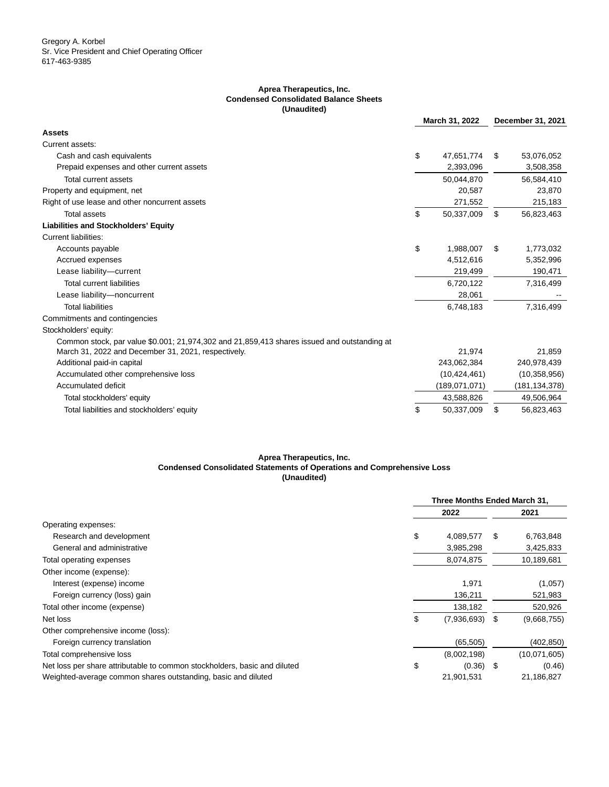## **Aprea Therapeutics, Inc. Condensed Consolidated Balance Sheets (Unaudited)**

|                                                                                             | March 31, 2022 |                | December 31, 2021 |                 |
|---------------------------------------------------------------------------------------------|----------------|----------------|-------------------|-----------------|
| <b>Assets</b>                                                                               |                |                |                   |                 |
| Current assets:                                                                             |                |                |                   |                 |
| Cash and cash equivalents                                                                   | \$             | 47,651,774     | \$.               | 53,076,052      |
| Prepaid expenses and other current assets                                                   |                | 2,393,096      |                   | 3,508,358       |
| Total current assets                                                                        |                | 50,044,870     |                   | 56,584,410      |
| Property and equipment, net                                                                 |                | 20,587         |                   | 23,870          |
| Right of use lease and other noncurrent assets                                              |                | 271,552        |                   | 215,183         |
| <b>Total assets</b>                                                                         | \$             | 50,337,009     | \$                | 56,823,463      |
| <b>Liabilities and Stockholders' Equity</b>                                                 |                |                |                   |                 |
| Current liabilities:                                                                        |                |                |                   |                 |
| Accounts payable                                                                            | \$             | 1,988,007      | \$                | 1,773,032       |
| Accrued expenses                                                                            |                | 4,512,616      |                   | 5,352,996       |
| Lease liability-current                                                                     |                | 219,499        |                   | 190,471         |
| <b>Total current liabilities</b>                                                            |                | 6,720,122      |                   | 7,316,499       |
| Lease liability-noncurrent                                                                  |                | 28,061         |                   |                 |
| <b>Total liabilities</b>                                                                    |                | 6,748,183      |                   | 7,316,499       |
| Commitments and contingencies                                                               |                |                |                   |                 |
| Stockholders' equity:                                                                       |                |                |                   |                 |
| Common stock, par value \$0.001; 21,974,302 and 21,859,413 shares issued and outstanding at |                |                |                   |                 |
| March 31, 2022 and December 31, 2021, respectively.                                         |                | 21,974         |                   | 21,859          |
| Additional paid-in capital                                                                  |                | 243,062,384    |                   | 240,978,439     |
| Accumulated other comprehensive loss                                                        |                | (10, 424, 461) |                   | (10, 358, 956)  |
| Accumulated deficit                                                                         |                | (189,071,071)  |                   | (181, 134, 378) |
| Total stockholders' equity                                                                  |                | 43,588,826     |                   | 49,506,964      |
| Total liabilities and stockholders' equity                                                  | \$             | 50,337,009     | \$                | 56,823,463      |

# **Aprea Therapeutics, Inc. Condensed Consolidated Statements of Operations and Comprehensive Loss (Unaudited)**

|                                                                           | Three Months Ended March 31, |   |              |  |
|---------------------------------------------------------------------------|------------------------------|---|--------------|--|
|                                                                           | 2022                         |   | 2021         |  |
| Operating expenses:                                                       |                              |   |              |  |
| Research and development                                                  | \$<br>4.089.577              | S | 6,763,848    |  |
| General and administrative                                                | 3,985,298                    |   | 3,425,833    |  |
| Total operating expenses                                                  | 8,074,875                    |   | 10,189,681   |  |
| Other income (expense):                                                   |                              |   |              |  |
| Interest (expense) income                                                 | 1,971                        |   | (1,057)      |  |
| Foreign currency (loss) gain                                              | 136,211                      |   | 521,983      |  |
| Total other income (expense)                                              | 138,182                      |   | 520,926      |  |
| Net loss                                                                  | \$<br>$(7,936,693)$ \$       |   | (9,668,755)  |  |
| Other comprehensive income (loss):                                        |                              |   |              |  |
| Foreign currency translation                                              | (65, 505)                    |   | (402,850)    |  |
| Total comprehensive loss                                                  | (8,002,198)                  |   | (10,071,605) |  |
| Net loss per share attributable to common stockholders, basic and diluted | \$<br>$(0.36)$ \$            |   | (0.46)       |  |
| Weighted-average common shares outstanding, basic and diluted             | 21,901,531                   |   | 21,186,827   |  |